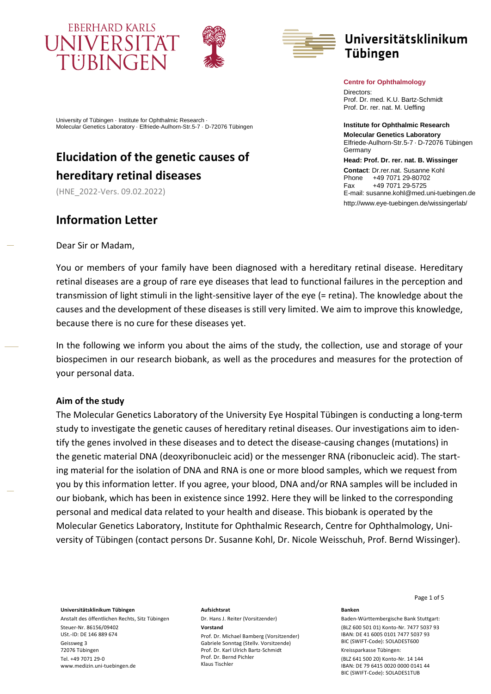





# Universitätsklinikum **Tübingen**

**Centre for Ophthalmology** 

Directors: Prof. Dr. med. K.U. Bartz-Schmidt Prof. Dr. rer. nat. M. Ueffing

**Institute for Ophthalmic Research Molecular Genetics Laboratory** Elfriede-Aulhorn-Str.5-7 · D-72076 Tübingen Germany

**Head: Prof. Dr. rer. nat. B. Wissinger** Contact: Dr.rer.nat. Susanne Kohl<br>Phone +49 7071 29-80702 +49 7071 29-80702 Fax +49 7071 29-5725 E-mail: susanne.kohl@med.uni-tuebingen.de http://www.eye-tuebingen.de/wissingerlab/

University of Tübingen · Institute for Ophthalmic Research · Molecular Genetics Laboratory · Elfriede-Aulhorn-Str.5-7 · D-72076 Tübingen

# **Elucidation of the genetic causes of hereditary retinal diseases**

(HNE\_2022-Vers. 09.02.2022)

## **Information Letter**

Dear Sir or Madam,

You or members of your family have been diagnosed with a hereditary retinal disease. Hereditary retinal diseases are a group of rare eye diseases that lead to functional failures in the perception and transmission of light stimuli in the light-sensitive layer of the eye (= retina). The knowledge about the causes and the development of these diseases is still very limited. We aim to improve this knowledge, because there is no cure for these diseases yet.

In the following we inform you about the aims of the study, the collection, use and storage of your biospecimen in our research biobank, as well as the procedures and measures for the protection of your personal data.

## **Aim of the study**

The Molecular Genetics Laboratory of the University Eye Hospital Tübingen is conducting a long-term study to investigate the genetic causes of hereditary retinal diseases. Our investigations aim to identify the genes involved in these diseases and to detect the disease-causing changes (mutations) in the genetic material DNA (deoxyribonucleic acid) or the messenger RNA (ribonucleic acid). The starting material for the isolation of DNA and RNA is one or more blood samples, which we request from you by this information letter. If you agree, your blood, DNA and/or RNA samples will be included in our biobank, which has been in existence since 1992. Here they will be linked to the corresponding personal and medical data related to your health and disease. This biobank is operated by the Molecular Genetics Laboratory, Institute for Ophthalmic Research, Centre for Ophthalmology, University of Tübingen (contact persons Dr. Susanne Kohl, Dr. Nicole Weisschuh, Prof. Bernd Wissinger).

**Universitätsklinikum Tübingen**

Anstalt des öffentlichen Rechts, Sitz Tübingen Steuer-Nr. 86156/09402 USt.-ID: DE 146 889 674 Geissweg 3 72076 Tübingen Tel. +49 7071 29-0 www.medizin.uni-tuebingen.de

## **Aufsichtsrat**

Dr. Hans J. Reiter (Vorsitzender) **Vorstand** 

Prof. Dr. Michael Bamberg (Vorsitzender) Gabriele Sonntag (Stellv. Vorsitzende) Prof. Dr. Karl Ulrich Bartz-Schmidt Prof. Dr. Bernd Pichler Klaus Tischler

Page 1 of 5

#### **Banken**

Baden-Württembergische Bank Stuttgart: (BLZ 600 501 01) Konto-Nr. 7477 5037 93 IBAN: DE 41 6005 0101 7477 5037 93 BIC (SWIFT-Code): SOLADEST600 Kreissparkasse Tübingen:

(BLZ 641 500 20) Konto-Nr. 14 144 IBAN: DE 79 6415 0020 0000 0141 44 BIC (SWIFT-Code): SOLADES1TUB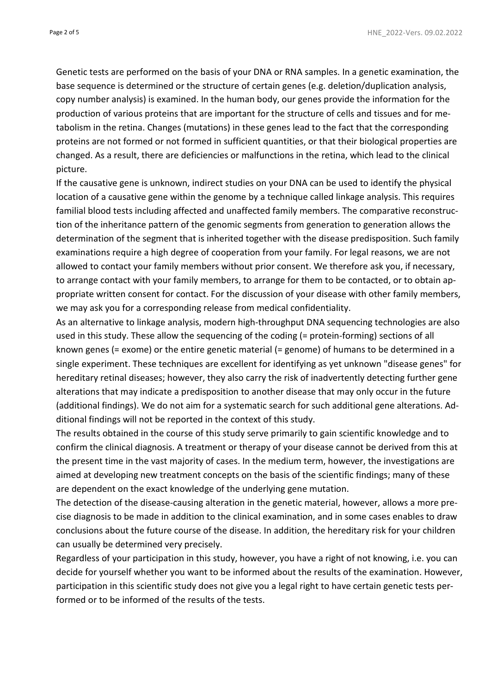Genetic tests are performed on the basis of your DNA or RNA samples. In a genetic examination, the base sequence is determined or the structure of certain genes (e.g. deletion/duplication analysis, copy number analysis) is examined. In the human body, our genes provide the information for the production of various proteins that are important for the structure of cells and tissues and for metabolism in the retina. Changes (mutations) in these genes lead to the fact that the corresponding proteins are not formed or not formed in sufficient quantities, or that their biological properties are changed. As a result, there are deficiencies or malfunctions in the retina, which lead to the clinical picture.

If the causative gene is unknown, indirect studies on your DNA can be used to identify the physical location of a causative gene within the genome by a technique called linkage analysis. This requires familial blood tests including affected and unaffected family members. The comparative reconstruction of the inheritance pattern of the genomic segments from generation to generation allows the determination of the segment that is inherited together with the disease predisposition. Such family examinations require a high degree of cooperation from your family. For legal reasons, we are not allowed to contact your family members without prior consent. We therefore ask you, if necessary, to arrange contact with your family members, to arrange for them to be contacted, or to obtain appropriate written consent for contact. For the discussion of your disease with other family members, we may ask you for a corresponding release from medical confidentiality.

As an alternative to linkage analysis, modern high-throughput DNA sequencing technologies are also used in this study. These allow the sequencing of the coding (= protein-forming) sections of all known genes (= exome) or the entire genetic material (= genome) of humans to be determined in a single experiment. These techniques are excellent for identifying as yet unknown "disease genes" for hereditary retinal diseases; however, they also carry the risk of inadvertently detecting further gene alterations that may indicate a predisposition to another disease that may only occur in the future (additional findings). We do not aim for a systematic search for such additional gene alterations. Additional findings will not be reported in the context of this study.

The results obtained in the course of this study serve primarily to gain scientific knowledge and to confirm the clinical diagnosis. A treatment or therapy of your disease cannot be derived from this at the present time in the vast majority of cases. In the medium term, however, the investigations are aimed at developing new treatment concepts on the basis of the scientific findings; many of these are dependent on the exact knowledge of the underlying gene mutation.

The detection of the disease-causing alteration in the genetic material, however, allows a more precise diagnosis to be made in addition to the clinical examination, and in some cases enables to draw conclusions about the future course of the disease. In addition, the hereditary risk for your children can usually be determined very precisely.

Regardless of your participation in this study, however, you have a right of not knowing, i.e. you can decide for yourself whether you want to be informed about the results of the examination. However, participation in this scientific study does not give you a legal right to have certain genetic tests performed or to be informed of the results of the tests.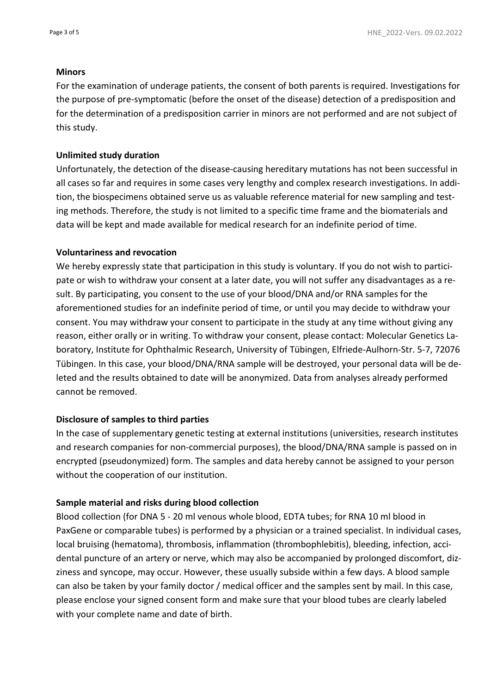### **Minors**

For the examination of underage patients, the consent of both parents is required. Investigations for the purpose of pre-symptomatic (before the onset of the disease) detection of a predisposition and for the determination of a predisposition carrier in minors are not performed and are not subject of this study.

### **Unlimited study duration**

Unfortunately, the detection of the disease-causing hereditary mutations has not been successful in all cases so far and requires in some cases very lengthy and complex research investigations. In addition, the biospecimens obtained serve us as valuable reference material for new sampling and testing methods. Therefore, the study is not limited to a specific time frame and the biomaterials and data will be kept and made available for medical research for an indefinite period of time.

#### **Voluntariness and revocation**

We hereby expressly state that participation in this study is voluntary. If you do not wish to participate or wish to withdraw your consent at a later date, you will not suffer any disadvantages as a result. By participating, you consent to the use of your blood/DNA and/or RNA samples for the aforementioned studies for an indefinite period of time, or until you may decide to withdraw your consent. You may withdraw your consent to participate in the study at any time without giving any reason, either orally or in writing. To withdraw your consent, please contact: Molecular Genetics Laboratory, Institute for Ophthalmic Research, University of Tübingen, Elfriede-Aulhorn-Str. 5-7, 72076 Tübingen. In this case, your blood/DNA/RNA sample will be destroyed, your personal data will be deleted and the results obtained to date will be anonymized. Data from analyses already performed cannot be removed.

### **Disclosure of samples to third parties**

In the case of supplementary genetic testing at external institutions (universities, research institutes and research companies for non-commercial purposes), the blood/DNA/RNA sample is passed on in encrypted (pseudonymized) form. The samples and data hereby cannot be assigned to your person without the cooperation of our institution.

### **Sample material and risks during blood collection**

Blood collection (for DNA 5 - 20 ml venous whole blood, EDTA tubes; for RNA 10 ml blood in PaxGene or comparable tubes) is performed by a physician or a trained specialist. In individual cases, local bruising (hematoma), thrombosis, inflammation (thrombophlebitis), bleeding, infection, accidental puncture of an artery or nerve, which may also be accompanied by prolonged discomfort, dizziness and syncope, may occur. However, these usually subside within a few days. A blood sample can also be taken by your family doctor / medical officer and the samples sent by mail. In this case, please enclose your signed consent form and make sure that your blood tubes are clearly labeled with your complete name and date of birth.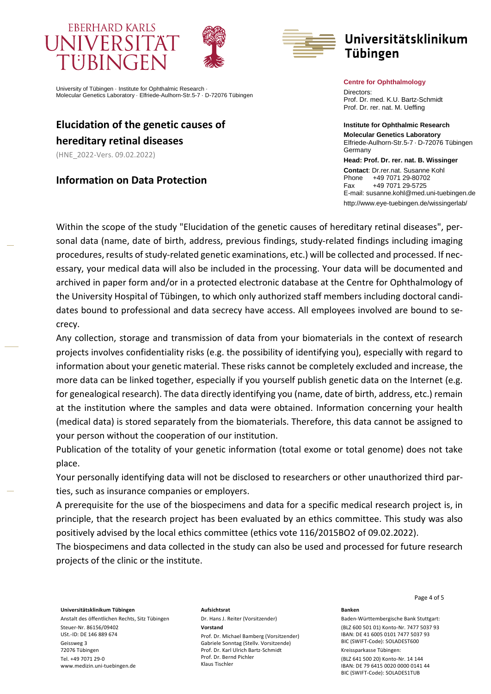# **EBERHARD KARLS UNIVERSI** TUBINGEN





# Universitätsklinikum **Tübingen**

University of Tübingen · Institute for Ophthalmic Research · Molecular Genetics Laboratory · Elfriede-Aulhorn-Str.5-7 · D-72076 Tübingen

# **Elucidation of the genetic causes of hereditary retinal diseases**

(HNE\_2022-Vers. 09.02.2022)

**Information on Data Protection**

#### **Centre for Ophthalmology**

Directors: Prof. Dr. med. K.U. Bartz-Schmidt Prof. Dr. rer. nat. M. Ueffing

**Institute for Ophthalmic Research Molecular Genetics Laboratory** Elfriede-Aulhorn-Str.5-7 · D-72076 Tübingen **Germany** 

**Head: Prof. Dr. rer. nat. B. Wissinger** Contact: Dr.rer.nat. Susanne Kohl<br>Phone +49 7071 29-80702 +49 7071 29-80702 Fax +49 7071 29-5725 E-mail: susanne.kohl@med.uni-tuebingen.de http://www.eye-tuebingen.de/wissingerlab/

Within the scope of the study "Elucidation of the genetic causes of hereditary retinal diseases", personal data (name, date of birth, address, previous findings, study-related findings including imaging procedures, results of study-related genetic examinations, etc.) will be collected and processed. If necessary, your medical data will also be included in the processing. Your data will be documented and archived in paper form and/or in a protected electronic database at the Centre for Ophthalmology of the University Hospital of Tübingen, to which only authorized staff members including doctoral candidates bound to professional and data secrecy have access. All employees involved are bound to secrecy.

Any collection, storage and transmission of data from your biomaterials in the context of research projects involves confidentiality risks (e.g. the possibility of identifying you), especially with regard to information about your genetic material. These risks cannot be completely excluded and increase, the more data can be linked together, especially if you yourself publish genetic data on the Internet (e.g. for genealogical research). The data directly identifying you (name, date of birth, address, etc.) remain at the institution where the samples and data were obtained. Information concerning your health (medical data) is stored separately from the biomaterials. Therefore, this data cannot be assigned to your person without the cooperation of our institution.

Publication of the totality of your genetic information (total exome or total genome) does not take place.

Your personally identifying data will not be disclosed to researchers or other unauthorized third parties, such as insurance companies or employers.

A prerequisite for the use of the biospecimens and data for a specific medical research project is, in principle, that the research project has been evaluated by an ethics committee. This study was also positively advised by the local ethics committee (ethics vote 116/2015BO2 of 09.02.2022).

The biospecimens and data collected in the study can also be used and processed for future research projects of the clinic or the institute.

**Universitätsklinikum Tübingen**

Anstalt des öffentlichen Rechts, Sitz Tübingen Steuer-Nr. 86156/09402 USt.-ID: DE 146 889 674 Geissweg 3 72076 Tübingen Tel. +49 7071 29-0 www.medizin.uni-tuebingen.de

#### **Aufsichtsrat**

Dr. Hans J. Reiter (Vorsitzender) **Vorstand** 

Prof. Dr. Michael Bamberg (Vorsitzender) Gabriele Sonntag (Stellv. Vorsitzende) Prof. Dr. Karl Ulrich Bartz-Schmidt Prof. Dr. Bernd Pichler Klaus Tischler

Page 4 of 5

#### **Banken**

Baden-Württembergische Bank Stuttgart: (BLZ 600 501 01) Konto-Nr. 7477 5037 93 IBAN: DE 41 6005 0101 7477 5037 93 BIC (SWIFT-Code): SOLADEST600 Kreissparkasse Tübingen:

(BLZ 641 500 20) Konto-Nr. 14 144 IBAN: DE 79 6415 0020 0000 0141 44 BIC (SWIFT-Code): SOLADES1TUB